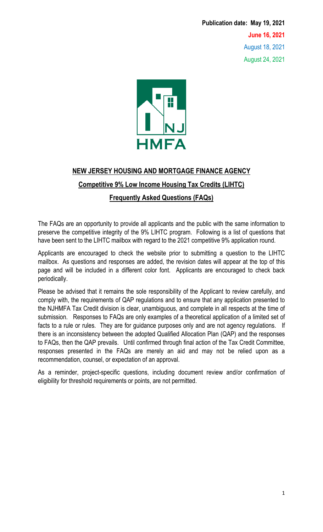**Publication date: May 19, 2021 June 16, 2021** August 18, 2021 August 24, 2021



# **NEW JERSEY HOUSING AND MORTGAGE FINANCE AGENCY Competitive 9% Low Income Housing Tax Credits (LIHTC) Frequently Asked Questions (FAQs)**

The FAQs are an opportunity to provide all applicants and the public with the same information to preserve the competitive integrity of the 9% LIHTC program. Following is a list of questions that have been sent to the LIHTC mailbox with regard to the 2021 competitive 9% application round.

Applicants are encouraged to check the website prior to submitting a question to the LIHTC mailbox. As questions and responses are added, the revision dates will appear at the top of this page and will be included in a different color font. Applicants are encouraged to check back periodically.

Please be advised that it remains the sole responsibility of the Applicant to review carefully, and comply with, the requirements of QAP regulations and to ensure that any application presented to the NJHMFA Tax Credit division is clear, unambiguous, and complete in all respects at the time of submission. Responses to FAQs are only examples of a theoretical application of a limited set of facts to a rule or rules. They are for guidance purposes only and are not agency regulations. If there is an inconsistency between the adopted Qualified Allocation Plan (QAP) and the responses to FAQs, then the QAP prevails. Until confirmed through final action of the Tax Credit Committee, responses presented in the FAQs are merely an aid and may not be relied upon as a recommendation, counsel, or expectation of an approval.

As a reminder, project-specific questions, including document review and/or confirmation of eligibility for threshold requirements or points, are not permitted.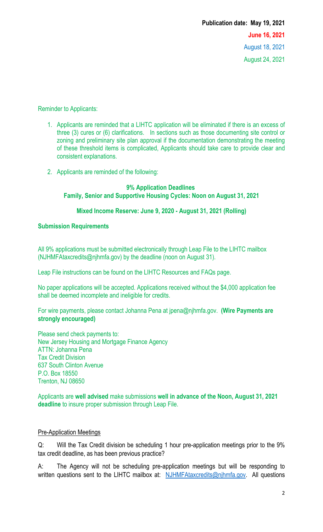#### Reminder to Applicants:

- 1. Applicants are reminded that a LIHTC application will be eliminated if there is an excess of three (3) cures or (6) clarifications. In sections such as those documenting site control or zoning and preliminary site plan approval if the documentation demonstrating the meeting of these threshold items is complicated, Applicants should take care to provide clear and consistent explanations.
- 2. Applicants are reminded of the following:

#### **9% Application Deadlines Family, Senior and Supportive Housing Cycles: Noon on August 31, 2021**

#### **Mixed Income Reserve: June 9, 2020 - August 31, 2021 (Rolling)**

#### **Submission Requirements**

All 9% applications must be submitted electronically through Leap File to the LIHTC mailbox [\(NJHMFAtaxcredits@njhmfa.gov\)](mailto:NJHMFAtaxcredits@njhmfa.gov) by the deadline (noon on August 31).

Leap File instructions can be found on the [LIHTC Resources and FAQs page.](https://www.nj.gov/dca/hmfa/developers/lihtc/faqs/index.shtml)

No paper applications will be accepted. Applications received without the \$4,000 application fee shall be deemed incomplete and ineligible for credits.

For wire payments, please contact Johanna Pena at [jpena@njhmfa.gov.](mailto:jpena@njhmfa.gov) **(Wire Payments are strongly encouraged)**

Please send check payments to: New Jersey Housing and Mortgage Finance Agency ATTN: Johanna Pena Tax Credit Division 637 South Clinton Avenue P.O. Box 18550 Trenton, NJ 08650

Applicants are **well advised** make submissions **well in advance of the Noon, August 31, 2021 deadline** to insure proper submission through Leap File.

#### Pre-Application Meetings

Q: Will the Tax Credit division be scheduling 1 hour pre-application meetings prior to the 9% tax credit deadline, as has been previous practice?

A: The Agency will not be scheduling pre-application meetings but will be responding to written questions sent to the LIHTC mailbox at: [NJHMFAtaxcredits@njhmfa.gov.](mailto:NJHMFAtaxcredits@njhmfa.gov) All questions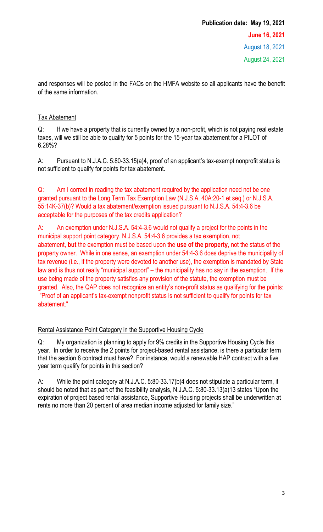and responses will be posted in the FAQs on the HMFA website so all applicants have the benefit of the same information.

## Tax Abatement

Q: If we have a property that is currently owned by a non-profit, which is not paying real estate taxes, will we still be able to qualify for 5 points for the 15-year tax abatement for a PILOT of 6.28%?

A: Pursuant to N.J.A.C. 5:80-33.15(a)4, proof of an applicant's tax-exempt nonprofit status is not sufficient to qualify for points for tax abatement.

Q: Am I correct in reading the tax abatement required by the application need not be one granted pursuant to the Long Term Tax Exemption Law (N.J.S.A. 40A:20-1 et seq.) or N.J.S.A. 55:14K-37(b)? Would a tax abatement/exemption issued pursuant to N.J.S.A. 54:4-3.6 be acceptable for the purposes of the tax credits application?

A: An exemption under N.J.S.A. 54:4-3.6 would not qualify a project for the points in the municipal support point category. N.J.S.A. 54:4-3.6 provides a tax exemption, not abatement, **but** the exemption must be based upon the **use of the property**, not the status of the property owner. While in one sense, an exemption under 54:4-3.6 does deprive the municipality of tax revenue (i.e., if the property were devoted to another use), the exemption is mandated by State law and is thus not really "municipal support" – the municipality has no say in the exemption. If the use being made of the property satisfies any provision of the statute, the exemption must be granted. Also, the QAP does not recognize an entity's non-profit status as qualifying for the points: "Proof of an applicant's tax-exempt nonprofit status is not sufficient to qualify for points for tax abatement."

## Rental Assistance Point Category in the Supportive Housing Cycle

Q: My organization is planning to apply for 9% credits in the Supportive Housing Cycle this year. In order to receive the 2 points for project-based rental assistance, is there a particular term that the section 8 contract must have? For instance, would a renewable HAP contract with a five year term qualify for points in this section?

A: While the point category at N.J.A.C. 5:80-33.17(b)4 does not stipulate a particular term, it should be noted that as part of the feasibility analysis, N.J.A.C. 5:80-33.13(a)13 states "Upon the expiration of project based rental assistance, Supportive Housing projects shall be underwritten at rents no more than 20 percent of area median income adjusted for family size."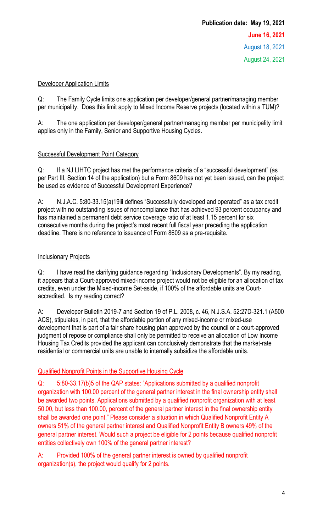## Developer Application Limits

Q: The Family Cycle limits one application per developer/general partner/managing member per municipality. Does this limit apply to Mixed Income Reserve projects (located within a TUM)?

A: The one application per developer/general partner/managing member per municipality limit applies only in the Family, Senior and Supportive Housing Cycles.

## Successful Development Point Category

Q: If a NJ LIHTC project has met the performance criteria of a "successful development" (as per Part III, Section 14 of the application) but a Form 8609 has not yet been issued, can the project be used as evidence of Successful Development Experience?

A: N.J.A.C. 5:80-33.15(a)19iii defines "Successfully developed and operated" as a tax credit project with no outstanding issues of noncompliance that has achieved 93 percent occupancy and has maintained a permanent debt service coverage ratio of at least 1.15 percent for six consecutive months during the project's most recent full fiscal year preceding the application deadline. There is no reference to issuance of Form 8609 as a pre-requisite*.*

## **Inclusionary Projects**

Q: I have read the clarifying guidance regarding "Inclusionary Developments". By my reading, it appears that a Court-approved mixed-income project would not be eligible for an allocation of tax credits, even under the Mixed-income Set-aside, if 100% of the affordable units are Courtaccredited. Is my reading correct?

A: Developer Bulletin 2019-7 and Section 19 of P.L. 2008, c. 46, N.J.S.A. 52:27D-321.1 (A500 ACS), stipulates, in part, that the affordable portion of any mixed-income or mixed-use development that is part of a fair share housing plan approved by the council or a court-approved judgment of repose or compliance shall only be permitted to receive an allocation of Low Income Housing Tax Credits provided the applicant can conclusively demonstrate that the market-rate residential or commercial units are unable to internally subsidize the affordable units.

## Qualified Nonprofit Points in the Supportive Housing Cycle

Q: 5:80-33.17(b)5 of the QAP states: "Applications submitted by a qualified nonprofit organization with 100.00 percent of the general partner interest in the final ownership entity shall be awarded two points. Applications submitted by a qualified nonprofit organization with at least 50.00, but less than 100.00, percent of the general partner interest in the final ownership entity shall be awarded one point." Please consider a situation in which Qualified Nonprofit Entity A owners 51% of the general partner interest and Qualified Nonprofit Entity B owners 49% of the general partner interest. Would such a project be eligible for 2 points because qualified nonprofit entities collectively own 100% of the general partner interest?

A: Provided 100% of the general partner interest is owned by qualified nonprofit organization(s), the project would qualify for 2 points.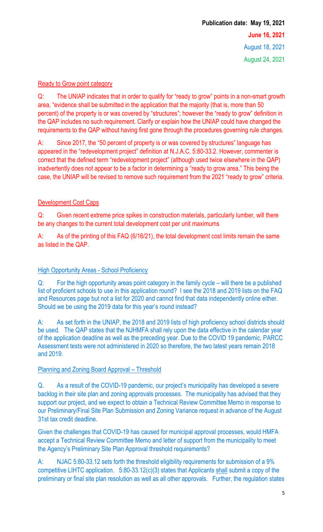## Ready to Grow point category

Q: The UNIAP indicates that in order to qualify for "ready to grow" points in a non-smart growth area, "evidence shall be submitted in the application that the majority (that is, more than 50 percent) of the property is or was covered by "structures"; however the "ready to grow" definition in the QAP includes no such requirement. Clarify or explain how the UNIAP could have changed the requirements to the QAP without having first gone through the procedures governing rule changes.

A: Since 2017, the "50 percent of property is or was covered by structures" language has appeared in the "redevelopment project" definition at N.J.A.C. 5:80-33.2. However, commenter is correct that the defined term "redevelopment project" (although used twice elsewhere in the QAP) inadvertently does not appear to be a factor in determining a "ready to grow area." This being the case, the UNIAP will be revised to remove such requirement from the 2021 "ready to grow" criteria.

## Development Cost Caps

Q: Given recent extreme price spikes in construction materials, particularly lumber, will there be any changes to the current total development cost per unit maximums

A: As of the printing of this FAQ (6/16/21), the total development cost limits remain the same as listed in the QAP.

## **High Opportunity Areas - School Proficiency**

Q: For the high opportunity areas point category in the family cycle – will there be a published list of proficient schools to use in this application round? I see the 2018 and 2019 lists on the FAQ and Resources page but not a list for 2020 and cannot find that data independently online either. Should we be using the 2019 data for this year's round instead?

A: As set forth in the UNIAP, the 2018 and 2019 lists of high proficiency school districts should be used. The QAP states that the NJHMFA shall rely upon the data effective in the calendar year of the application deadline as well as the preceding year. Due to the COVID 19 pandemic, PARCC Assessment tests were not administered in 2020 so therefore, the two latest years remain 2018 and 2019.

## Planning and Zoning Board Approval – Threshold

Q. As a result of the COVID-19 pandemic, our project's municipality has developed a severe backlog in their site plan and zoning approvals processes. The municipality has advised that they support our project, and we expect to obtain a Technical Review Committee Memo in response to our Preliminary/Final Site Plan Submission and Zoning Variance request in advance of the August 31st tax credit deadline.

Given the challenges that COVID-19 has caused for municipal approval processes, would HMFA accept a Technical Review Committee Memo and letter of support from the municipality to meet the Agency's Preliminary Site Plan Approval threshold requirements?

A: NJAC 5:80-33.12 sets forth the threshold eligibility requirements for submission of a 9% competitive LIHTC application. 5:80-33.12(c)(3) states that Applicants shall submit a copy of the preliminary or final site plan resolution as well as all other approvals. Further, the regulation states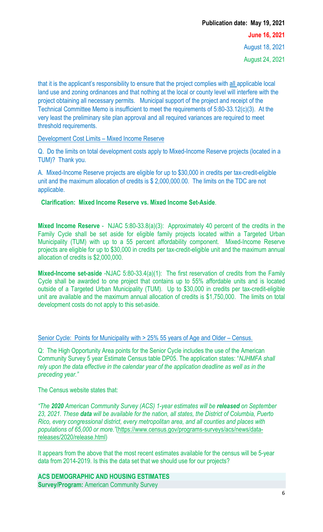## **Publication date: May 19, 2021 June 16, 2021** August 18, 2021 August 24, 2021

that it is the applicant's responsibility to ensure that the project complies with all applicable local land use and zoning ordinances and that nothing at the local or county level will interfere with the project obtaining all necessary permits. Municipal support of the project and receipt of the Technical Committee Memo is insufficient to meet the requirements of 5:80-33.12(c)(3). At the very least the preliminary site plan approval and all required variances are required to meet threshold requirements.

#### Development Cost Limits – Mixed Income Reserve

Q. Do the limits on total development costs apply to Mixed-Income Reserve projects (located in a TUM)? Thank you.

A. Mixed-Income Reserve projects are eligible for up to \$30,000 in credits per tax-credit-eligible unit and the maximum allocation of credits is \$ 2,000,000.00. The limits on the TDC are not applicable.

## **Clarification: Mixed Income Reserve vs. Mixed Income Set-Aside**.

**Mixed Income Reserve** - NJAC 5:80-33.8(a)(3): Approximately 40 percent of the credits in the Family Cycle shall be set aside for eligible family projects located within a Targeted Urban Municipality (TUM) with up to a 55 percent affordability component. Mixed-Income Reserve projects are eligible for up to \$30,000 in credits per tax-credit-eligible unit and the maximum annual allocation of credits is \$2,000,000.

**Mixed-Income set-aside** -NJAC 5:80-33.4(a)(1): The first reservation of credits from the Family Cycle shall be awarded to one project that contains up to 55% affordable units and is located outside of a Targeted Urban Municipality (TUM). Up to \$30,000 in credits per tax-credit-eligible unit are available and the maximum annual allocation of credits is \$1,750,000. The limits on total development costs do not apply to this set-aside.

## Senior Cycle: Points for Municipality with > 25% 55 years of Age and Older – Census.

Q: The High Opportunity Area points for the Senior Cycle includes the use of the American Community Survey 5 year Estimate Census table DP05. The application states: "*NJHMFA shall rely upon the data effective in the calendar year of the application deadline as well as in the preceding year."* 

The Census website states that:

*"The 2020 American Community Survey (ACS) 1-year estimates will be released on September 23, 2021. These data will be available for the nation, all states, the District of Columbia, Puerto Rico, every congressional district, every metropolitan area, and all counties and places with populations of 65,000 or more."*[\(https://www.census.gov/programs-surveys/acs/news/data](https://www.census.gov/programs-surveys/acs/news/data-releases/2020/release.html)[releases/2020/release.html\)](https://www.census.gov/programs-surveys/acs/news/data-releases/2020/release.html)

It appears from the above that the most recent estimates available for the census will be 5-year data from 2014-2019. Is this the data set that we should use for our projects?

**ACS DEMOGRAPHIC AND HOUSING ESTIMATES Survey/Program:** American Community Survey